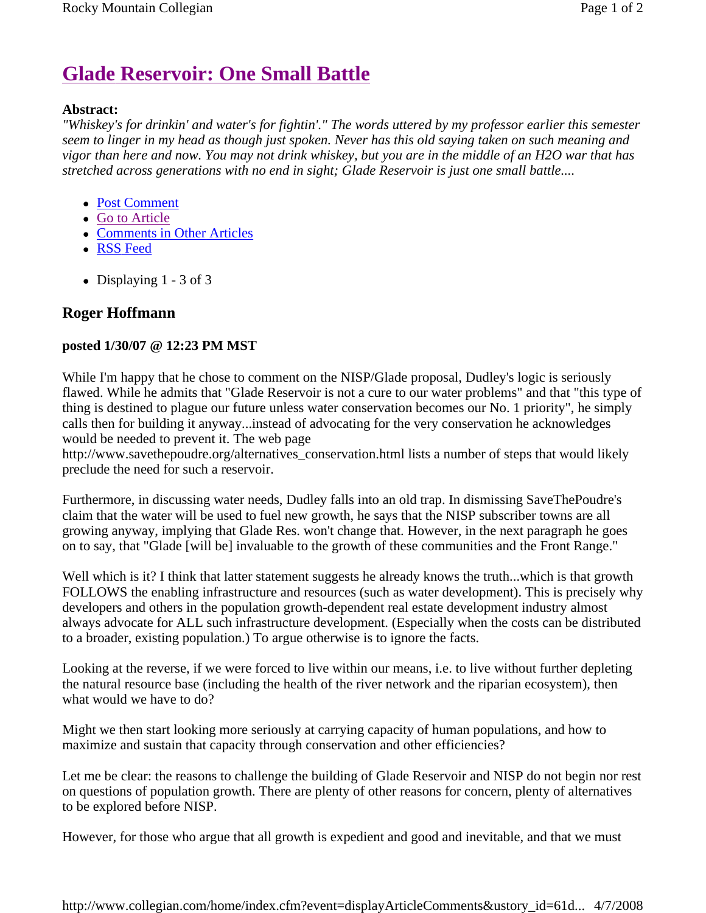## **Glade Reservoir: One Small Battle**

## **Abstract:**

*"Whiskey's for drinkin' and water's for fightin'." The words uttered by my professor earlier this semester seem to linger in my head as though just spoken. Never has this old saying taken on such meaning and vigor than here and now. You may not drink whiskey, but you are in the middle of an H2O war that has stretched across generations with no end in sight; Glade Reservoir is just one small battle....* 

- Post Comment
- Go to Article
- Comments in Other Articles
- RSS Feed
- Displaying  $1 3$  of 3

## **Roger Hoffmann**

## **posted 1/30/07 @ 12:23 PM MST**

While I'm happy that he chose to comment on the NISP/Glade proposal, Dudley's logic is seriously flawed. While he admits that "Glade Reservoir is not a cure to our water problems" and that "this type of thing is destined to plague our future unless water conservation becomes our No. 1 priority", he simply calls then for building it anyway...instead of advocating for the very conservation he acknowledges would be needed to prevent it. The web page

http://www.savethepoudre.org/alternatives\_conservation.html lists a number of steps that would likely preclude the need for such a reservoir.

Furthermore, in discussing water needs, Dudley falls into an old trap. In dismissing SaveThePoudre's claim that the water will be used to fuel new growth, he says that the NISP subscriber towns are all growing anyway, implying that Glade Res. won't change that. However, in the next paragraph he goes on to say, that "Glade [will be] invaluable to the growth of these communities and the Front Range."

Well which is it? I think that latter statement suggests he already knows the truth...which is that growth FOLLOWS the enabling infrastructure and resources (such as water development). This is precisely why developers and others in the population growth-dependent real estate development industry almost always advocate for ALL such infrastructure development. (Especially when the costs can be distributed to a broader, existing population.) To argue otherwise is to ignore the facts.

Looking at the reverse, if we were forced to live within our means, i.e. to live without further depleting the natural resource base (including the health of the river network and the riparian ecosystem), then what would we have to do?

Might we then start looking more seriously at carrying capacity of human populations, and how to maximize and sustain that capacity through conservation and other efficiencies?

Let me be clear: the reasons to challenge the building of Glade Reservoir and NISP do not begin nor rest on questions of population growth. There are plenty of other reasons for concern, plenty of alternatives to be explored before NISP.

However, for those who argue that all growth is expedient and good and inevitable, and that we must